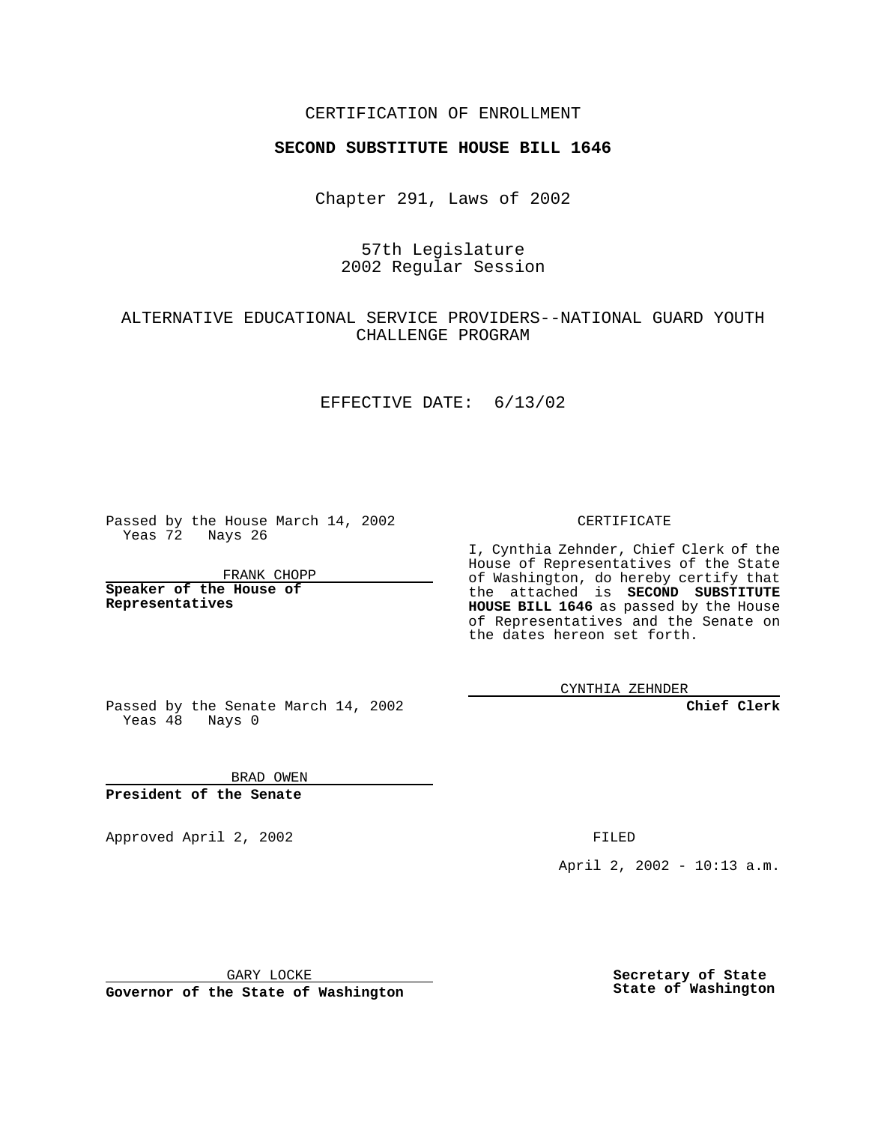## CERTIFICATION OF ENROLLMENT

# **SECOND SUBSTITUTE HOUSE BILL 1646**

Chapter 291, Laws of 2002

# 57th Legislature 2002 Regular Session

## ALTERNATIVE EDUCATIONAL SERVICE PROVIDERS--NATIONAL GUARD YOUTH CHALLENGE PROGRAM

#### EFFECTIVE DATE: 6/13/02

Passed by the House March 14, 2002 Yeas 72 Nays 26

FRANK CHOPP

**Speaker of the House of Representatives**

CERTIFICATE

I, Cynthia Zehnder, Chief Clerk of the House of Representatives of the State of Washington, do hereby certify that the attached is **SECOND SUBSTITUTE HOUSE BILL 1646** as passed by the House of Representatives and the Senate on the dates hereon set forth.

CYNTHIA ZEHNDER

**Chief Clerk**

Passed by the Senate March 14, 2002 Yeas  $48$  Nays 0

BRAD OWEN **President of the Senate**

Approved April 2, 2002 **FILED** 

April 2, 2002 - 10:13 a.m.

GARY LOCKE

**Governor of the State of Washington**

**Secretary of State State of Washington**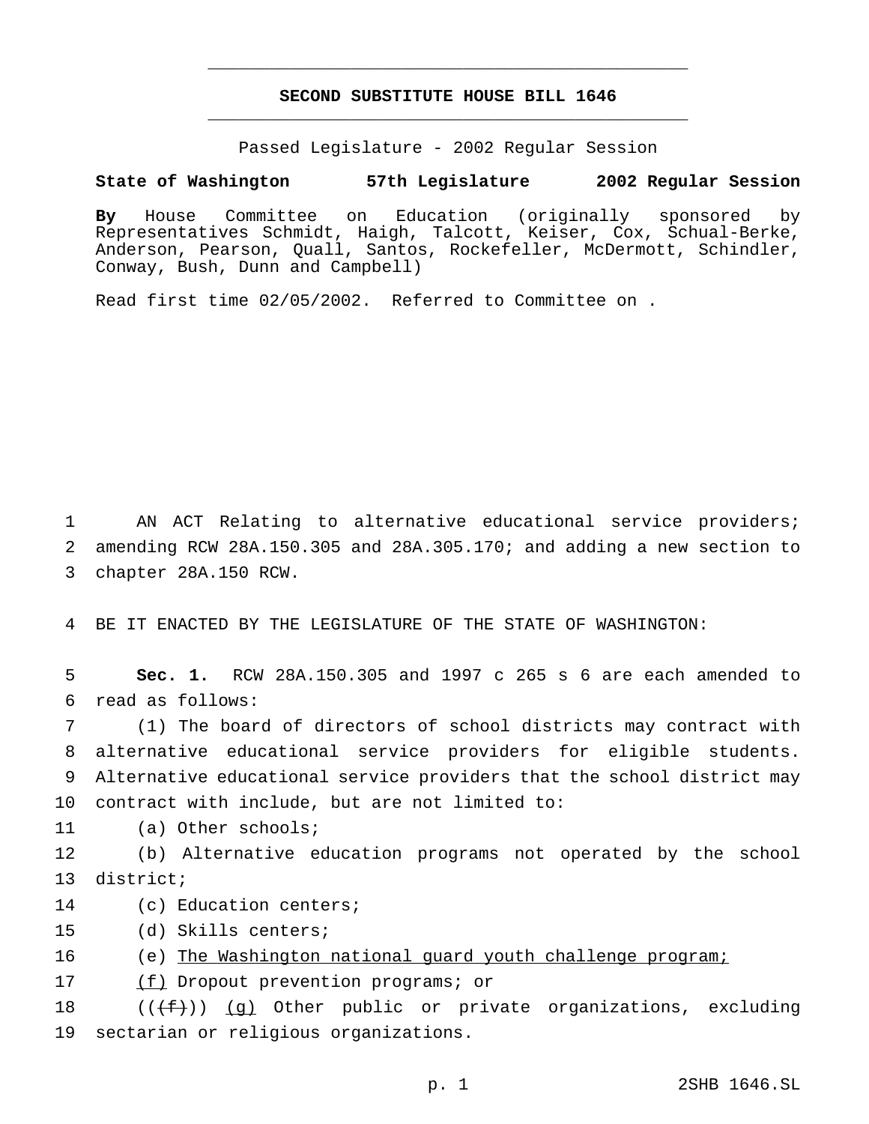# **SECOND SUBSTITUTE HOUSE BILL 1646** \_\_\_\_\_\_\_\_\_\_\_\_\_\_\_\_\_\_\_\_\_\_\_\_\_\_\_\_\_\_\_\_\_\_\_\_\_\_\_\_\_\_\_\_\_\_\_

\_\_\_\_\_\_\_\_\_\_\_\_\_\_\_\_\_\_\_\_\_\_\_\_\_\_\_\_\_\_\_\_\_\_\_\_\_\_\_\_\_\_\_\_\_\_\_

Passed Legislature - 2002 Regular Session

### **State of Washington 57th Legislature 2002 Regular Session**

**By** House Committee on Education (originally sponsored by Representatives Schmidt, Haigh, Talcott, Keiser, Cox, Schual-Berke, Anderson, Pearson, Quall, Santos, Rockefeller, McDermott, Schindler, Conway, Bush, Dunn and Campbell)

Read first time 02/05/2002. Referred to Committee on .

1 AN ACT Relating to alternative educational service providers; 2 amending RCW 28A.150.305 and 28A.305.170; and adding a new section to 3 chapter 28A.150 RCW.

4 BE IT ENACTED BY THE LEGISLATURE OF THE STATE OF WASHINGTON:

5 **Sec. 1.** RCW 28A.150.305 and 1997 c 265 s 6 are each amended to 6 read as follows:

 (1) The board of directors of school districts may contract with alternative educational service providers for eligible students. Alternative educational service providers that the school district may contract with include, but are not limited to:

11 (a) Other schools;

12 (b) Alternative education programs not operated by the school 13 district;

14 (c) Education centers;

15 (d) Skills centers;

16 (e) The Washington national guard youth challenge program;

17 (f) Dropout prevention programs; or

18  $((\text{f}))(q)$  Other public or private organizations, excluding 19 sectarian or religious organizations.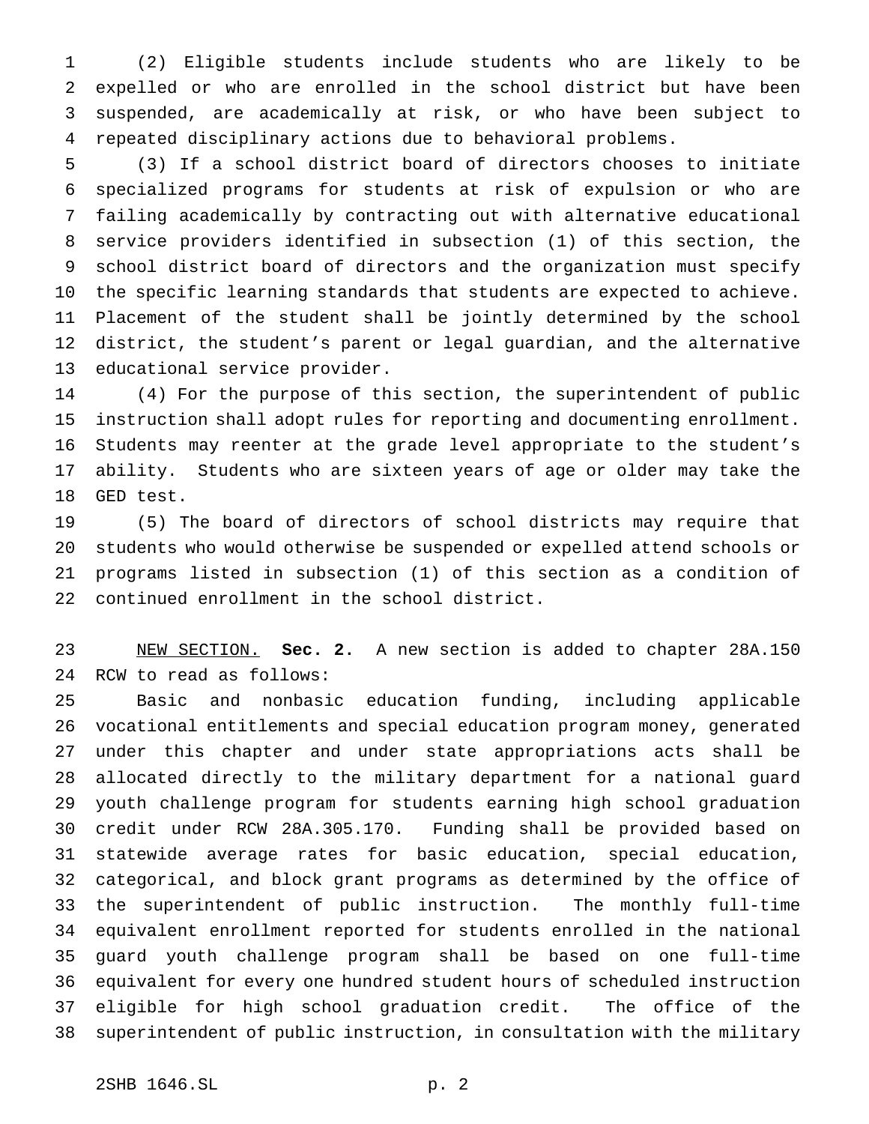(2) Eligible students include students who are likely to be expelled or who are enrolled in the school district but have been suspended, are academically at risk, or who have been subject to repeated disciplinary actions due to behavioral problems.

 (3) If a school district board of directors chooses to initiate specialized programs for students at risk of expulsion or who are failing academically by contracting out with alternative educational service providers identified in subsection (1) of this section, the school district board of directors and the organization must specify the specific learning standards that students are expected to achieve. Placement of the student shall be jointly determined by the school district, the student's parent or legal guardian, and the alternative educational service provider.

 (4) For the purpose of this section, the superintendent of public instruction shall adopt rules for reporting and documenting enrollment. Students may reenter at the grade level appropriate to the student's ability. Students who are sixteen years of age or older may take the GED test.

 (5) The board of directors of school districts may require that students who would otherwise be suspended or expelled attend schools or programs listed in subsection (1) of this section as a condition of continued enrollment in the school district.

 NEW SECTION. **Sec. 2.** A new section is added to chapter 28A.150 RCW to read as follows:

 Basic and nonbasic education funding, including applicable vocational entitlements and special education program money, generated under this chapter and under state appropriations acts shall be allocated directly to the military department for a national guard youth challenge program for students earning high school graduation credit under RCW 28A.305.170. Funding shall be provided based on statewide average rates for basic education, special education, categorical, and block grant programs as determined by the office of the superintendent of public instruction. The monthly full-time equivalent enrollment reported for students enrolled in the national guard youth challenge program shall be based on one full-time equivalent for every one hundred student hours of scheduled instruction eligible for high school graduation credit. The office of the superintendent of public instruction, in consultation with the military